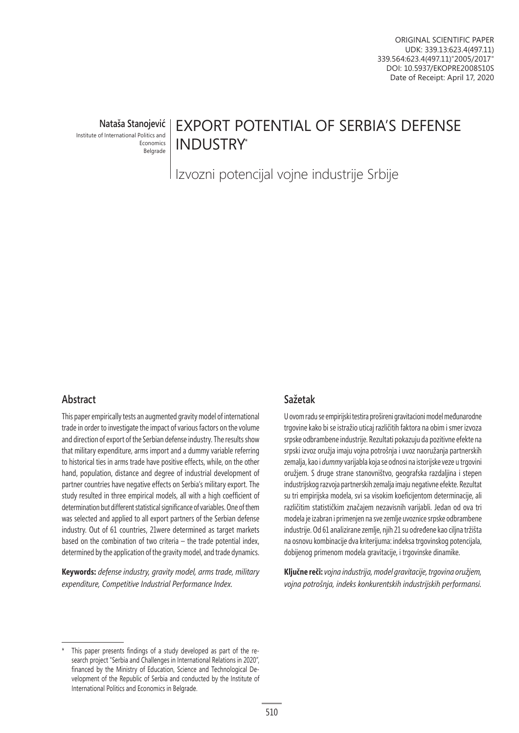**Nataša Stanojević** Institute of International Politics and

Economics Belgrade

# EXPORT POTENTIAL OF SERBIA'S DEFENSE INDUSTRY\*

Izvozni potencijal vojne industrije Srbije

# **Abstract**

This paper empirically tests an augmented gravity model of international trade in order to investigate the impact of various factors on the volume and direction of export of the Serbian defense industry. The results show that military expenditure, arms import and a dummy variable referring to historical ties in arms trade have positive effects, while, on the other hand, population, distance and degree of industrial development of partner countries have negative effects on Serbia's military export. The study resulted in three empirical models, all with a high coefficient of determination but different statistical significance of variables. One of them was selected and applied to all export partners of the Serbian defense industry. Out of 61 countries, 21were determined as target markets based on the combination of two criteria  $-$  the trade potential index, determined by the application of the gravity model, and trade dynamics.

**Keywords:** *defense industry, gravity model, arms trade, military expenditure, Competitive Industrial Performance Index.*

# **Sažetak**

U ovom radu se empirijski testira prošireni gravitacioni model međunarodne trgovine kako bi se istražio uticaj različitih faktora na obim i smer izvoza srpske odbrambene industrije. Rezultati pokazuju da pozitivne efekte na srpski izvoz oružja imaju vojna potrošnja i uvoz naoružanja partnerskih zemalja, kao i *dummy* varijabla koja se odnosi na istorijske veze u trgovini oružjem. S druge strane stanovništvo, geografska razdaljina i stepen industrijskog razvoja partnerskih zemalja imaju negativne efekte. Rezultat su tri empirijska modela, svi sa visokim koeficijentom determinacije, ali različitim statističkim značajem nezavisnih varijabli. Jedan od ova tri modela je izabran i primenjen na sve zemlje uvoznice srpske odbrambene industrije. Od 61 analizirane zemlje, njih 21 su određene kao ciljna tržišta na osnovu kombinacije dva kriterijuma: indeksa trgovinskog potencijala, dobijenog primenom modela gravitacije, i trgovinske dinamike.

**Ključne reči:** *vojna industrija, model gravitacije, trgovina oružjem, vojna potrošnja, indeks konkurentskih industrijskih performansi.*

This paper presents findings of a study developed as part of the research project "Serbia and Challenges in International Relations in 2020", financed by the Ministry of Education, Science and Technological Development of the Republic of Serbia and conducted by the Institute of International Politics and Economics in Belgrade.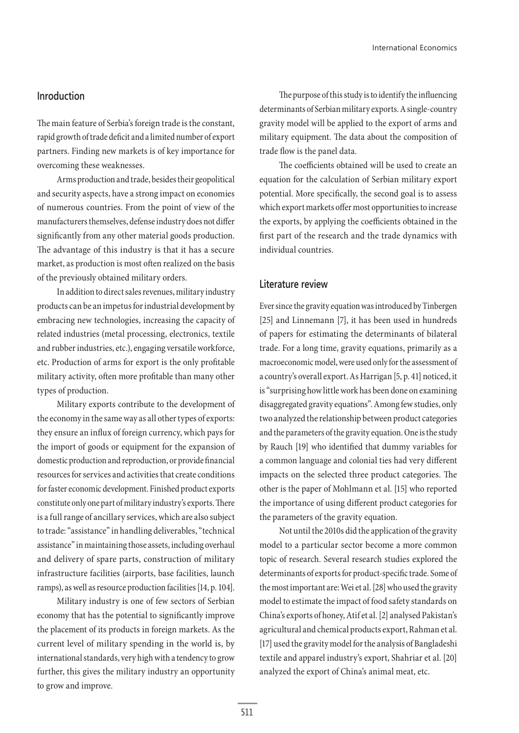### **Inroduction**

The main feature of Serbia's foreign trade is the constant, rapid growth of trade deficit and a limited number of export partners. Finding new markets is of key importance for overcoming these weaknesses.

Arms production and trade, besides their geopolitical and security aspects, have a strong impact on economies of numerous countries. From the point of view of the manufacturers themselves, defense industry does not differ significantly from any other material goods production. The advantage of this industry is that it has a secure market, as production is most often realized on the basis of the previously obtained military orders.

In addition to direct sales revenues, military industry products can be an impetus for industrial development by embracing new technologies, increasing the capacity of related industries (metal processing, electronics, textile and rubber industries, etc.), engaging versatile workforce, etc. Production of arms for export is the only profitable military activity, often more profitable than many other types of production.

Military exports contribute to the development of the economy in the same way as all other types of exports: they ensure an influx of foreign currency, which pays for the import of goods or equipment for the expansion of domestic production and reproduction, or provide financial resources for services and activities that create conditions for faster economic development. Finished product exports constitute only one part of military industry's exports. There is a full range of ancillary services, which are also subject to trade: "assistance" in handling deliverables, "technical assistance" in maintaining those assets, including overhaul and delivery of spare parts, construction of military infrastructure facilities (airports, base facilities, launch ramps), as well as resource production facilities [14, p. 104].

Military industry is one of few sectors of Serbian economy that has the potential to significantly improve the placement of its products in foreign markets. As the current level of military spending in the world is, by international standards, very high with a tendency to grow further, this gives the military industry an opportunity to grow and improve.

The purpose of this study is to identify the influencing determinants of Serbian military exports. A single-country gravity model will be applied to the export of arms and military equipment. The data about the composition of trade flow is the panel data.

The coefficients obtained will be used to create an equation for the calculation of Serbian military export potential. More specifically, the second goal is to assess which export markets offer most opportunities to increase the exports, by applying the coefficients obtained in the first part of the research and the trade dynamics with individual countries.

### **Literature review**

Ever since the gravity equation was introduced by Tinbergen [25] and Linnemann [7], it has been used in hundreds of papers for estimating the determinants of bilateral trade. For a long time, gravity equations, primarily as a macroeconomic model, were used only for the assessment of a country's overall export. As Harrigan [5, p. 41] noticed, it is "surprising how little work has been done on examining disaggregated gravity equations". Among few studies, only two analyzed the relationship between product categories and the parameters of the gravity equation. One is the study by Rauch [19] who identified that dummy variables for a common language and colonial ties had very different impacts on the selected three product categories. The other is the paper of Mohlmann et al. [15] who reported the importance of using different product categories for the parameters of the gravity equation.

Not until the 2010s did the application of the gravity model to a particular sector become a more common topic of research. Several research studies explored the determinants of exports for product-specific trade. Some of the most important are: Wei et al. [28] who used the gravity model to estimate the impact of food safety standards on China's exports of honey, Atif et al. [2] analysed Pakistan's agricultural and chemical products export, Rahman et al. [17] used the gravity model for the analysis of Bangladeshi textile and apparel industry's export, Shahriar et al. [20] analyzed the export of China's animal meat, etc.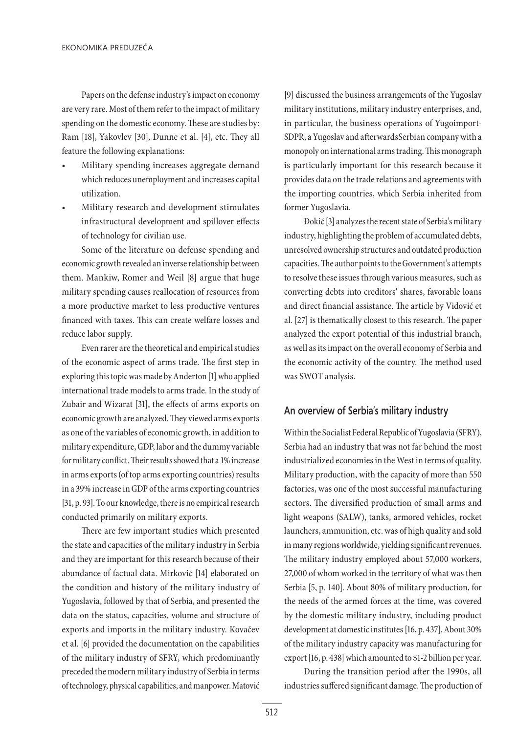Papers on the defense industry's impact on economy are very rare. Most of them refer to the impact of military spending on the domestic economy. These are studies by: Ram [18], Yakovlev [30], Dunne et al. [4], etc. They all feature the following explanations:

- Military spending increases aggregate demand which reduces unemployment and increases capital utilization.
- Military research and development stimulates infrastructural development and spillover effects of technology for civilian use.

Some of the literature on defense spending and economic growth revealed an inverse relationship between them. Mankiw, Romer and Weil [8] argue that huge military spending causes reallocation of resources from a more productive market to less productive ventures financed with taxes. This can create welfare losses and reduce labor supply.

Even rarer are the theoretical and empirical studies of the economic aspect of arms trade. The first step in exploring this topic was made by Anderton [1] who applied international trade models to arms trade. In the study of Zubair and Wizarat [31], the effects of arms exports on economic growth are analyzed. They viewed arms exports as one of the variables of economic growth, in addition to military expenditure, GDP, labor and the dummy variable for military conflict. Their results showed that a 1% increase in arms exports (of top arms exporting countries) results in a 39% increase in GDP of the arms exporting countries [31, p. 93]. To our knowledge, there is no empirical research conducted primarily on military exports.

There are few important studies which presented the state and capacities of the military industry in Serbia and they are important for this research because of their abundance of factual data. Mirković [14] elaborated on the condition and history of the military industry of Yugoslavia, followed by that of Serbia, and presented the data on the status, capacities, volume and structure of exports and imports in the military industry. Kovačev et al. [6] provided the documentation on the capabilities of the military industry of SFRY, which predominantly preceded the modern military industry of Serbia in terms of technology, physical capabilities, and manpower. Matović

[9] discussed the business arrangements of the Yugoslav military institutions, military industry enterprises, and, in particular, the business operations of Yugoimport-SDPR, a Yugoslav and afterwardsSerbian company with a monopoly on international arms trading. This monograph is particularly important for this research because it provides data on the trade relations and agreements with the importing countries, which Serbia inherited from former Yugoslavia.

Đokić [3] analyzes the recent state of Serbia's military industry, highlighting the problem of accumulated debts, unresolved ownership structures and outdated production capacities. The author points to the Government's attempts to resolve these issues through various measures, such as converting debts into creditors' shares, favorable loans and direct financial assistance. The article by Vidović et al. [27] is thematically closest to this research. The paper analyzed the export potential of this industrial branch, as well as its impact on the overall economy of Serbia and the economic activity of the country. The method used was SWOT analysis.

### **An overview of Serbia's military industry**

Within the Socialist Federal Republic of Yugoslavia (SFRY), Serbia had an industry that was not far behind the most industrialized economies in the West in terms of quality. Military production, with the capacity of more than 550 factories, was one of the most successful manufacturing sectors. The diversified production of small arms and light weapons (SALW), tanks, armored vehicles, rocket launchers, ammunition, etc. was of high quality and sold in many regions worldwide, yielding significant revenues. The military industry employed about 57,000 workers, 27,000 of whom worked in the territory of what was then Serbia [5, p. 140]. About 80% of military production, for the needs of the armed forces at the time, was covered by the domestic military industry, including product development at domestic institutes [16, p. 437]. About 30% of the military industry capacity was manufacturing for export [16, p. 438] which amounted to \$1-2 billion per year.

During the transition period after the 1990s, all industries suffered significant damage. The production of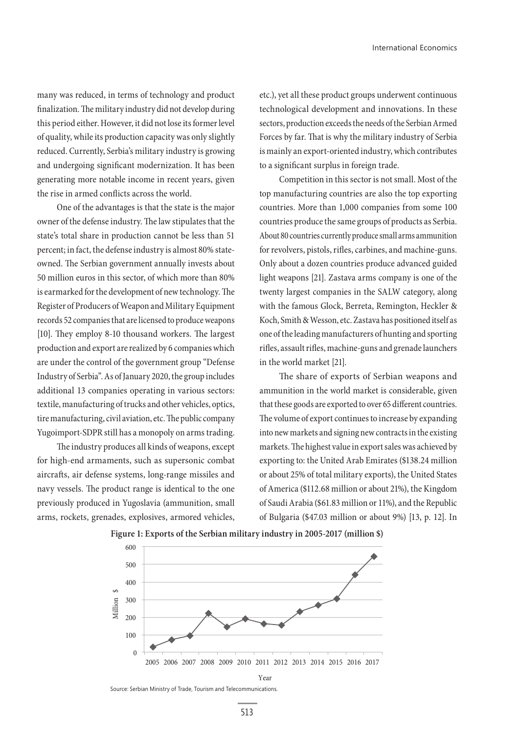many was reduced, in terms of technology and product finalization. The military industry did not develop during this period either. However, it did not lose its former level of quality, while its production capacity was only slightly reduced. Currently, Serbia's military industry is growing and undergoing significant modernization. It has been generating more notable income in recent years, given the rise in armed conflicts across the world.

One of the advantages is that the state is the major owner of the defense industry. The law stipulates that the state's total share in production cannot be less than 51 percent; in fact, the defense industry is almost 80% stateowned. The Serbian government annually invests about 50 million euros in this sector, of which more than 80% is earmarked for the development of new technology. The Register of Producers of Weapon and Military Equipment records 52 companies that are licensed to produce weapons [10]. They employ 8-10 thousand workers. The largest production and export are realized by 6 companies which are under the control of the government group "Defense Industry of Serbia". As of January 2020, the group includes additional 13 companies operating in various sectors: textile, manufacturing of trucks and other vehicles, optics, tire manufacturing, civil aviation, etc. The public company Yugoimport-SDPR still has a monopoly on arms trading.

The industry produces all kinds of weapons, except for high-end armaments, such as supersonic combat aircrafts, air defense systems, long-range missiles and navy vessels. The product range is identical to the one previously produced in Yugoslavia (ammunition, small arms, rockets, grenades, explosives, armored vehicles, etc.), yet all these product groups underwent continuous technological development and innovations. In these sectors, production exceeds the needs of the Serbian Armed Forces by far. That is why the military industry of Serbia is mainly an export-oriented industry, which contributes to a significant surplus in foreign trade.

Competition in this sector is not small. Most of the top manufacturing countries are also the top exporting countries. More than 1,000 companies from some 100 countries produce the same groups of products as Serbia. About 80 countries currently produce small arms ammunition for revolvers, pistols, rifles, carbines, and machine-guns. Only about a dozen countries produce advanced guided light weapons [21]. Zastava arms company is one of the twenty largest companies in the SALW category, along with the famous Glock, Berreta, Remington, Heckler & Koch, Smith & Wesson, etc. Zastava has positioned itself as one of the leading manufacturers of hunting and sporting rifles, assault rifles, machine-guns and grenade launchers in the world market [21].

The share of exports of Serbian weapons and ammunition in the world market is considerable, given that these goods are exported to over 65 different countries. The volume of export continues to increase by expanding into new markets and signing new contracts in the existing markets. The highest value in export sales was achieved by exporting to: the United Arab Emirates (\$138.24 million or about 25% of total military exports), the United States of America (\$112.68 million or about 21%), the Kingdom of Saudi Arabia (\$61.83 million or 11%), and the Republic of Bulgaria (\$47.03 million or about 9%) [13, p. 12]. In



**Figure 1: Exports of the Serbian military industry in 2005-2017 (million \$)**

Source: Serbian Ministry of Trade, Tourism and Telecommunications.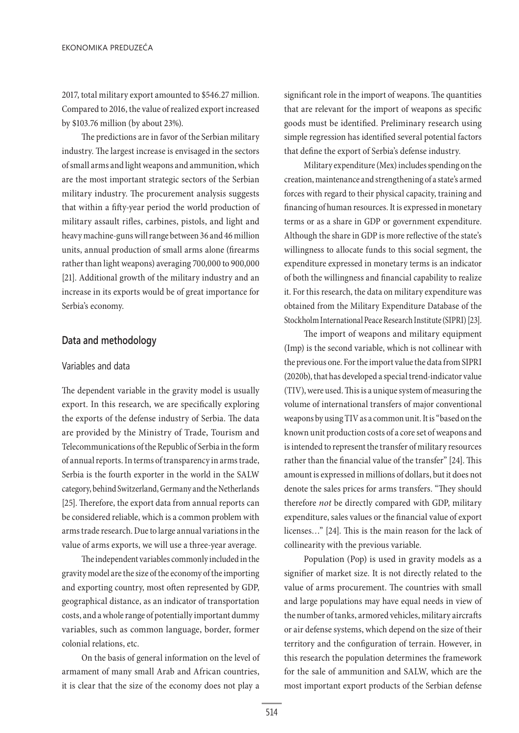2017, total military export amounted to \$546.27 million. Compared to 2016, the value of realized export increased by \$103.76 million (by about 23%).

The predictions are in favor of the Serbian military industry. The largest increase is envisaged in the sectors of small arms and light weapons and ammunition, which are the most important strategic sectors of the Serbian military industry. The procurement analysis suggests that within a fifty-year period the world production of military assault rifles, carbines, pistols, and light and heavy machine-guns will range between 36 and 46 million units, annual production of small arms alone (firearms rather than light weapons) averaging 700,000 to 900,000 [21]. Additional growth of the military industry and an increase in its exports would be of great importance for Serbia's economy.

# **Data and methodology**

### Variables and data

The dependent variable in the gravity model is usually export. In this research, we are specifically exploring the exports of the defense industry of Serbia. The data are provided by the Ministry of Trade, Tourism and Telecommunications of the Republic of Serbia in the form of annual reports. In terms of transparency in arms trade, Serbia is the fourth exporter in the world in the SALW category, behind Switzerland, Germany and the Netherlands [25]. Therefore, the export data from annual reports can be considered reliable, which is a common problem with arms trade research. Due to large annual variations in the value of arms exports, we will use a three-year average.

The independent variables commonly included in the gravity model are the size of the economy of the importing and exporting country, most often represented by GDP, geographical distance, as an indicator of transportation costs, and a whole range of potentially important dummy variables, such as common language, border, former colonial relations, etc.

On the basis of general information on the level of armament of many small Arab and African countries, it is clear that the size of the economy does not play a

significant role in the import of weapons. The quantities that are relevant for the import of weapons as specific goods must be identified. Preliminary research using simple regression has identified several potential factors that define the export of Serbia's defense industry.

Military expenditure (Mex) includes spending on the creation, maintenance and strengthening of a state's armed forces with regard to their physical capacity, training and financing of human resources. It is expressed in monetary terms or as a share in GDP or government expenditure. Although the share in GDP is more reflective of the state's willingness to allocate funds to this social segment, the expenditure expressed in monetary terms is an indicator of both the willingness and financial capability to realize it. For this research, the data on military expenditure was obtained from the Military Expenditure Database of the Stockholm International Peace Research Institute (SIPRI) [23].

The import of weapons and military equipment (Imp) is the second variable, which is not collinear with the previous one. For the import value the data from SIPRI (2020b), that has developed a special trend-indicator value (TIV), were used. This is a unique system of measuring the volume of international transfers of major conventional weapons by using TIV as a common unit. It is "based on the known unit production costs of a core set of weapons and is intended to represent the transfer of military resources rather than the financial value of the transfer" [24]. This amount is expressed in millions of dollars, but it does not denote the sales prices for arms transfers. "They should therefore *not* be directly compared with GDP, military expenditure, sales values or the financial value of export licenses…" [24]. This is the main reason for the lack of collinearity with the previous variable.

Population (Pop) is used in gravity models as a signifier of market size. It is not directly related to the value of arms procurement. The countries with small and large populations may have equal needs in view of the number of tanks, armored vehicles, military aircrafts or air defense systems, which depend on the size of their territory and the configuration of terrain. However, in this research the population determines the framework for the sale of ammunition and SALW, which are the most important export products of the Serbian defense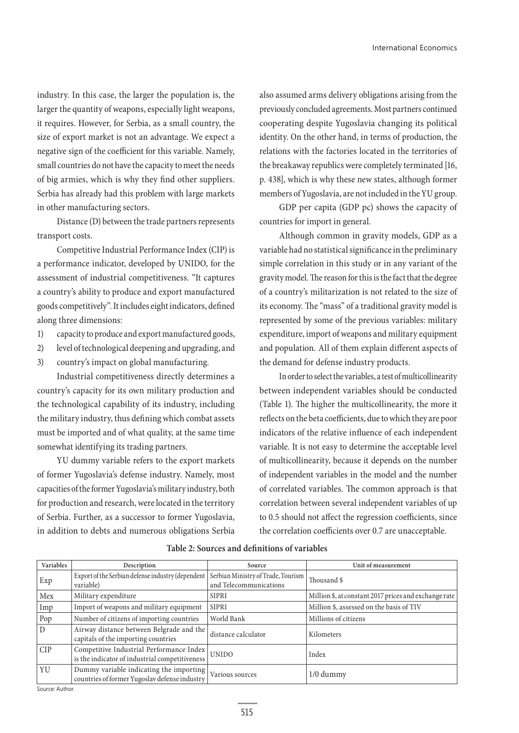industry. In this case, the larger the population is, the larger the quantity of weapons, especially light weapons, it requires. However, for Serbia, as a small country, the size of export market is not an advantage. We expect a negative sign of the coefficient for this variable. Namely, small countries do not have the capacity to meet the needs of big armies, which is why they find other suppliers. Serbia has already had this problem with large markets in other manufacturing sectors.

Distance (D) between the trade partners represents transport costs.

Competitive Industrial Performance Index (CIP) is a performance indicator, developed by UNIDO, for the assessment of industrial competitiveness. "It captures a country's ability to produce and export manufactured goods competitively". It includes eight indicators, defined along three dimensions:

- 1) capacity to produce and export manufactured goods,
- 2) level of technological deepening and upgrading, and
- 3) country's impact on global manufacturing.

Industrial competitiveness directly determines a country's capacity for its own military production and the technological capability of its industry, including the military industry, thus defining which combat assets must be imported and of what quality, at the same time somewhat identifying its trading partners.

YU dummy variable refers to the export markets of former Yugoslavia's defense industry. Namely, most capacities of the former Yugoslavia's military industry, both for production and research, were located in the territory of Serbia. Further, as a successor to former Yugoslavia, in addition to debts and numerous obligations Serbia also assumed arms delivery obligations arising from the previously concluded agreements. Most partners continued cooperating despite Yugoslavia changing its political identity. On the other hand, in terms of production, the relations with the factories located in the territories of the breakaway republics were completely terminated [16, p. 438], which is why these new states, although former members of Yugoslavia, are not included in the YU group.

GDP per capita (GDP pc) shows the capacity of countries for import in general.

Although common in gravity models, GDP as a variable had no statistical significance in the preliminary simple correlation in this study or in any variant of the gravity model. The reason for this is the fact that the degree of a country's militarization is not related to the size of its economy. The "mass" of a traditional gravity model is represented by some of the previous variables: military expenditure, import of weapons and military equipment and population*.* All of them explain different aspects of the demand for defense industry products.

In order to select the variables, a test of multicollinearity between independent variables should be conducted (Table 1). The higher the multicollinearity, the more it reflects on the beta coefficients, due to which they are poor indicators of the relative influence of each independent variable. It is not easy to determine the acceptable level of multicollinearity, because it depends on the number of independent variables in the model and the number of correlated variables. The common approach is that correlation between several independent variables of up to 0.5 should not affect the regression coefficients, since the correlation coefficients over 0.7 are unacceptable.

| Variables  | Description                                                                                | Source                                                         | Unit of measurement                                   |
|------------|--------------------------------------------------------------------------------------------|----------------------------------------------------------------|-------------------------------------------------------|
| Exp        | Export of the Serbian defense industry (dependent<br>variable)                             | Serbian Ministry of Trade, Tourism  <br>and Telecommunications | Thousand \$                                           |
| Mex        | Military expenditure                                                                       | <b>SIPRI</b>                                                   | Million \$, at constant 2017 prices and exchange rate |
| Imp        | Import of weapons and military equipment                                                   | <b>SIPRI</b>                                                   | Million \$, assessed on the basis of TIV              |
| Pop        | Number of citizens of importing countries                                                  | World Bank                                                     | Millions of citizens                                  |
| D          | Airway distance between Belgrade and the<br>capitals of the importing countries            | distance calculator                                            | Kilometers                                            |
| <b>CIP</b> | Competitive Industrial Performance Index<br>is the indicator of industrial competitiveness | <b>UNIDO</b>                                                   | Index                                                 |
| YU         | Dummy variable indicating the importing<br>countries of former Yugoslav defense industry   | $\,$ Various sources                                           | $1/0$ dummy                                           |

#### **Table 2: Sources and definitions of variables**

Source: Author.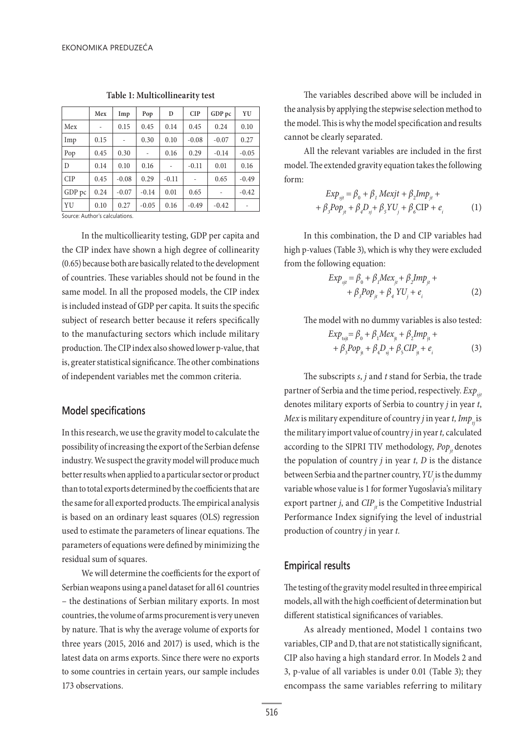|            | Mex  | Imp     | Pop     | D       | <b>CIP</b> | GDP pc  | YU      |
|------------|------|---------|---------|---------|------------|---------|---------|
| Mex        |      | 0.15    | 0.45    | 0.14    | 0.45       | 0.24    | 0.10    |
| Imp        | 0.15 |         | 0.30    | 0.10    | $-0.08$    | $-0.07$ | 0.27    |
| Pop        | 0.45 | 0.30    |         | 0.16    | 0.29       | $-0.14$ | $-0.05$ |
| D          | 0.14 | 0.10    | 0.16    |         | $-0.11$    | 0.01    | 0.16    |
| <b>CIP</b> | 0.45 | $-0.08$ | 0.29    | $-0.11$ |            | 0.65    | $-0.49$ |
| GDP pc     | 0.24 | $-0.07$ | $-0.14$ | 0.01    | 0.65       |         | $-0.42$ |
| YU         | 0.10 | 0.27    | $-0.05$ | 0.16    | $-0.49$    | $-0.42$ |         |

**Table 1: Multicollinearity test**

Source: Author's calculations.

In the multicolliearity testing, GDP per capita and the CIP index have shown a high degree of collinearity (0.65) because both are basically related to the development of countries. These variables should not be found in the same model. In all the proposed models, the CIP index is included instead of GDP per capita*.* It suits the specific subject of research better because it refers specifically to the manufacturing sectors which include military production. The CIP index also showed lower p-value, that is, greater statistical significance. The other combinations of independent variables met the common criteria.

# **Model specifications**

In this research, we use the gravity model to calculate the possibility of increasing the export of the Serbian defense industry. We suspect the gravity model will produce much better results when applied to a particular sector or product than to total exports determined by the coefficients that are the same for all exported products. The empirical analysis is based on an ordinary least squares (OLS) regression used to estimate the parameters of linear equations. The parameters of equations were defined by minimizing the residual sum of squares.

We will determine the coefficients for the export of Serbian weapons using a panel dataset for all 61 countries – the destinations of Serbian military exports. In most countries, the volume of arms procurement is very uneven by nature. That is why the average volume of exports for three years (2015, 2016 and 2017) is used, which is the latest data on arms exports. Since there were no exports to some countries in certain years, our sample includes 173 observations.

The variables described above will be included in the analysis by applying the stepwise selection method to the model. This is why the model specification and results cannot be clearly separated.

All the relevant variables are included in the first model. The extended gravity equation takes the following form:

$$
Exp_{si} = \beta_0 + \beta_1 Mexjt + \beta_2 Imp_{jt} ++ \beta_3 Pop_{jt} + \beta_4 D_{sj} + \beta_5 YU_j + \beta_6 CIP + e_i
$$
 (1)

In this combination, the D and CIP variables had high p-values (Table 3), which is why they were excluded from the following equation:

$$
Exp_{si} = \beta_0 + \beta_1 Mex_{jt} + \beta_2 Imp_{jt} +
$$
  
+  $\beta_3 Pop_{jt} + \beta_4 VU_j + e_i$  (2)

The model with no dummy variables is also tested:

$$
Exp_{\text{tsjt}} = \beta_0 + \beta_1 Mex_{\text{jt}} + \beta_2 Imp_{\text{jt}} + + \beta_3 Pop_{\text{jt}} + \beta_4 D_{\text{sj}} + \beta_5 CIP_{\text{jt}} + e_i
$$
 (3)

The subscripts *s*, *j* and *t* stand for Serbia, the trade partner of Serbia and the time period, respectively.  $Exp_{\text{st}}$ denotes military exports of Serbia to country *j* in year *t*, *Mex* is military expenditure of country *j* in year *t*, *Imp<sub>ti</sub>* is the military import value of country *j* in year *t,* calculated according to the SIPRI TIV methodology, *Pop<sub>it</sub>* denotes the population of country *j* in year *t, D* is the distance between Serbia and the partner country, *YU* is the dummy variable whose value is 1 for former Yugoslavia's military export partner *j*, and  $CIP<sub>i</sub>$  is the Competitive Industrial Performance Index signifying the level of industrial production of country *j* in year *t.*

### **Empirical results**

The testing of the gravity model resulted in three empirical models, all with the high coefficient of determination but different statistical significances of variables.

As already mentioned, Model 1 contains two variables, CIP and D, that are not statistically significant, CIP also having a high standard error. In Models 2 and 3, p-value of all variables is under 0.01 (Table 3); they encompass the same variables referring to military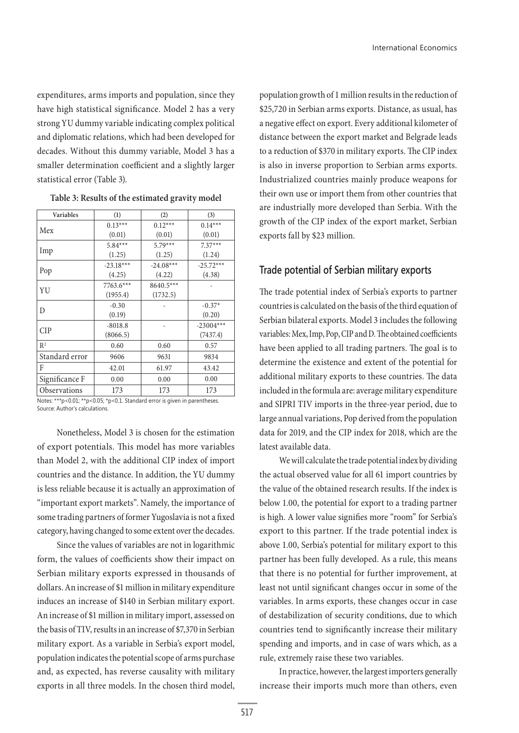expenditures, arms imports and population, since they have high statistical significance. Model 2 has a very strong YU dummy variable indicating complex political and diplomatic relations, which had been developed for decades. Without this dummy variable, Model 3 has a smaller determination coefficient and a slightly larger statistical error (Table 3).

| Variables           | (1)         | (2)         | (3)         |  |
|---------------------|-------------|-------------|-------------|--|
| Mex                 | $0.13***$   | $0.12***$   | $0.14***$   |  |
|                     | (0.01)      | (0.01)      | (0.01)      |  |
|                     | $5.84***$   | $5.79***$   | $7.37***$   |  |
| Imp                 | (1.25)      | (1.25)      | (1.24)      |  |
|                     | $-23.18***$ | $-24.08***$ | $-25.72***$ |  |
| Pop                 | (4.25)      | (4.22)      | (4.38)      |  |
| YU                  | 7763.6***   | 8640.5***   |             |  |
|                     | (1955.4)    | (1732.5)    |             |  |
| D                   | $-0.30$     |             | $-0.37*$    |  |
|                     | (0.19)      |             | (0.20)      |  |
| <b>CIP</b>          | $-8018.8$   |             | $-23004***$ |  |
|                     | (8066.5)    |             | (7437.4)    |  |
| R <sup>2</sup>      | 0.60        | 0.60        | 0.57        |  |
| Standard error      | 9606        | 9631        | 9834        |  |
| F                   | 42.01       | 61.97       | 43.42       |  |
| Significance F      | 0.00        | 0.00        | 0.00        |  |
| <b>Observations</b> | 173         | 173         | 173         |  |

**Table 3: Results of the estimated gravity model**

Notes: \*\*\*p<0.01; \*\*p<0.05; \*p<0.1. Standard error is given in parentheses. Source: Author's calculations.

Nonetheless, Model 3 is chosen for the estimation of export potentials. This model has more variables than Model 2, with the additional CIP index of import countries and the distance. In addition, the YU dummy is less reliable because it is actually an approximation of "important export markets". Namely, the importance of some trading partners of former Yugoslavia is not a fixed category, having changed to some extent over the decades.

Since the values of variables are not in logarithmic form, the values of coefficients show their impact on Serbian military exports expressed in thousands of dollars. An increase of \$1 million in military expenditure induces an increase of \$140 in Serbian military export. An increase of \$1 million in military import, assessed on the basis of TIV, results in an increase of \$7,370 in Serbian military export. As a variable in Serbia's export model, population indicates the potential scope of arms purchase and, as expected, has reverse causality with military exports in all three models. In the chosen third model,

population growth of 1 million results in the reduction of \$25,720 in Serbian arms exports. Distance, as usual, has a negative effect on export. Every additional kilometer of distance between the export market and Belgrade leads to a reduction of \$370 in military exports. The CIP index is also in inverse proportion to Serbian arms exports. Industrialized countries mainly produce weapons for their own use or import them from other countries that are industrially more developed than Serbia. With the growth of the CIP index of the export market, Serbian exports fall by \$23 million.

## **Trade potential of Serbian military exports**

The trade potential index of Serbia's exports to partner countries is calculated on the basis of the third equation of Serbian bilateral exports. Model 3 includes the following variables: Mex, Imp, Pop, CIP and D. The obtained coefficients have been applied to all trading partners. The goal is to determine the existence and extent of the potential for additional military exports to these countries. The data included in the formula are: average military expenditure and SIPRI TIV imports in the three-year period, due to large annual variations, Pop derived from the population data for 2019, and the CIP index for 2018, which are the latest available data.

We will calculate the trade potential index by dividing the actual observed value for all 61 import countries by the value of the obtained research results. If the index is below 1.00, the potential for export to a trading partner is high. A lower value signifies more "room" for Serbia's export to this partner. If the trade potential index is above 1.00, Serbia's potential for military export to this partner has been fully developed. As a rule, this means that there is no potential for further improvement, at least not until significant changes occur in some of the variables. In arms exports, these changes occur in case of destabilization of security conditions, due to which countries tend to significantly increase their military spending and imports, and in case of wars which, as a rule, extremely raise these two variables.

In practice, however, the largest importers generally increase their imports much more than others, even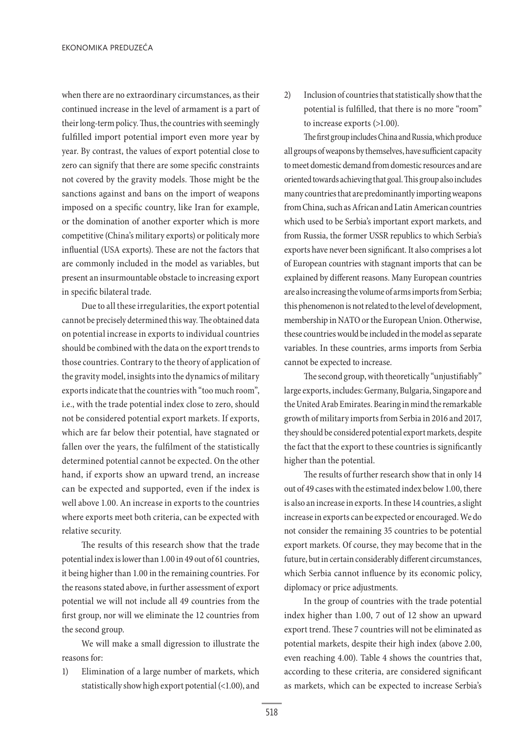when there are no extraordinary circumstances, as their continued increase in the level of armament is a part of their long-term policy. Thus, the countries with seemingly fulfilled import potential import even more year by year. By contrast, the values of export potential close to zero can signify that there are some specific constraints not covered by the gravity models. Those might be the sanctions against and bans on the import of weapons imposed on a specific country, like Iran for example, or the domination of another exporter which is more competitive (China's military exports) or politicaly more influential (USA exports). These are not the factors that are commonly included in the model as variables, but present an insurmountable obstacle to increasing export in specific bilateral trade.

Due to all these irregularities, the export potential cannot be precisely determined this way. The obtained data on potential increase in exports to individual countries should be combined with the data on the export trends to those countries. Contrary to the theory of application of the gravity model, insights into the dynamics of military exports indicate that the countries with "too much room", i.e., with the trade potential index close to zero, should not be considered potential export markets. If exports, which are far below their potential, have stagnated or fallen over the years, the fulfilment of the statistically determined potential cannot be expected. On the other hand, if exports show an upward trend, an increase can be expected and supported, even if the index is well above 1.00. An increase in exports to the countries where exports meet both criteria, can be expected with relative security.

The results of this research show that the trade potential index is lower than 1.00 in 49 out of 61 countries, it being higher than 1.00 in the remaining countries. For the reasons stated above, in further assessment of export potential we will not include all 49 countries from the first group, nor will we eliminate the 12 countries from the second group.

We will make a small digression to illustrate the reasons for:

1) Elimination of a large number of markets, which statistically show high export potential (<1.00), and 2) Inclusion of countries that statistically show that the potential is fulfilled, that there is no more "room" to increase exports (>1.00).

The first group includes China and Russia, which produce all groups of weapons by themselves, have sufficient capacity to meet domestic demand from domestic resources and are oriented towards achieving that goal. This group also includes many countries that are predominantly importing weapons from China, such as African and Latin American countries which used to be Serbia's important export markets, and from Russia, the former USSR republics to which Serbia's exports have never been significant. It also comprises a lot of European countries with stagnant imports that can be explained by different reasons. Many European countries are also increasing the volume of arms imports from Serbia; this phenomenon is not related to the level of development, membership in NATO or the European Union. Otherwise, these countries would be included in the model as separate variables. In these countries, arms imports from Serbia cannot be expected to increase.

The second group, with theoretically "unjustifiably" large exports, includes: Germany, Bulgaria, Singapore and the United Arab Emirates. Bearing in mind the remarkable growth of military imports from Serbia in 2016 and 2017, they should be considered potential export markets, despite the fact that the export to these countries is significantly higher than the potential.

The results of further research show that in only 14 out of 49 cases with the estimated index below 1.00, there is also an increase in exports. In these 14 countries, a slight increase in exports can be expected or encouraged. We do not consider the remaining 35 countries to be potential export markets. Of course, they may become that in the future, but in certain considerably different circumstances, which Serbia cannot influence by its economic policy, diplomacy or price adjustments.

In the group of countries with the trade potential index higher than 1.00, 7 out of 12 show an upward export trend. These 7 countries will not be eliminated as potential markets, despite their high index (above 2.00, even reaching 4.00). Table 4 shows the countries that, according to these criteria, are considered significant as markets, which can be expected to increase Serbia's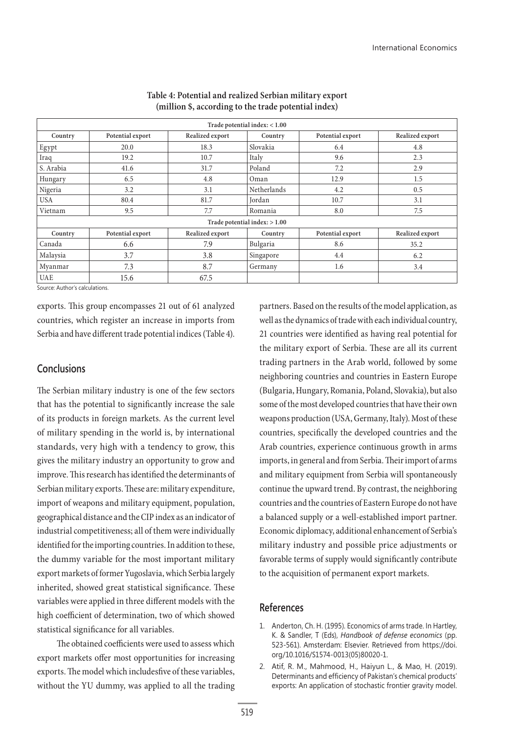| Trade potential index: $< 1.00$ |                  |                 |             |                  |                 |  |  |
|---------------------------------|------------------|-----------------|-------------|------------------|-----------------|--|--|
| Country                         | Potential export | Realized export | Country     | Potential export | Realized export |  |  |
| Egypt                           | 20.0             | 18.3            | Slovakia    | 6.4              | 4.8             |  |  |
| Iraq                            | 19.2             | 10.7            | Italy       | 9.6              | 2.3             |  |  |
| S. Arabia                       | 41.6             | 31.7            | Poland      | 7.2              | 2.9             |  |  |
| Hungary                         | 6.5              | 4.8             | Oman        | 12.9             | 1.5             |  |  |
| Nigeria                         | 3.2              | 3.1             | Netherlands | 4.2              | 0.5             |  |  |
| <b>USA</b>                      | 80.4             | 81.7            | Jordan      | 10.7             | 3.1             |  |  |
| Vietnam                         | 9.5              | 7.7             | Romania     | 8.0              | 7.5             |  |  |
| Trade potential index: $> 1.00$ |                  |                 |             |                  |                 |  |  |
| Country                         | Potential export | Realized export | Country     | Potential export | Realized export |  |  |
| Canada                          | 6.6              | 7.9             | Bulgaria    | 8.6              | 35.2            |  |  |
| Malaysia                        | 3.7              | 3.8             | Singapore   | 4.4              | 6.2             |  |  |
| Myanmar                         | 7.3              | 8.7             | Germany     | 1.6              | 3.4             |  |  |
| <b>UAE</b>                      | 15.6             | 67.5            |             |                  |                 |  |  |

### **Table 4: Potential and realized Serbian military export (million \$, according to the trade potential index)**

Source: Author's calculations.

exports. This group encompasses 21 out of 61 analyzed countries, which register an increase in imports from Serbia and have different trade potential indices (Table 4).

# **Conclusions**

The Serbian military industry is one of the few sectors that has the potential to significantly increase the sale of its products in foreign markets. As the current level of military spending in the world is, by international standards, very high with a tendency to grow, this gives the military industry an opportunity to grow and improve. This research has identified the determinants of Serbian military exports. These are: military expenditure, import of weapons and military equipment, population, geographical distance and the CIP index as an indicator of industrial competitiveness; all of them were individually identified for the importing countries. In addition to these, the dummy variable for the most important military export markets of former Yugoslavia, which Serbia largely inherited, showed great statistical significance. These variables were applied in three different models with the high coefficient of determination, two of which showed statistical significance for all variables.

The obtained coefficients were used to assess which export markets offer most opportunities for increasing exports. The model which includesfive of these variables, without the YU dummy, was applied to all the trading

partners. Based on the results of the model application, as well as the dynamics of trade with each individual country, 21 countries were identified as having real potential for the military export of Serbia. These are all its current trading partners in the Arab world, followed by some neighboring countries and countries in Eastern Europe (Bulgaria, Hungary, Romania, Poland, Slovakia), but also some of the most developed countries that have their own weapons production (USA, Germany, Italy). Most of these countries, specifically the developed countries and the Arab countries, experience continuous growth in arms imports, in general and from Serbia. Their import of arms and military equipment from Serbia will spontaneously continue the upward trend. By contrast, the neighboring countries and the countries of Eastern Europe do not have a balanced supply or a well-established import partner. Economic diplomacy, additional enhancement of Serbia's military industry and possible price adjustments or favorable terms of supply would significantly contribute to the acquisition of permanent export markets.

## **References**

- 1. Anderton, Ch. H. (1995). Economics of arms trade. In Hartley, K. & Sandler, T (Eds), *Handbook of defense economics* (pp. 523-561). Amsterdam: Elsevier. Retrieved from https://doi. org/10.1016/S1574-0013(05)80020-1.
- 2. Atif, R. M., Mahmood, H., Haiyun L., & Mao, H. (2019). Determinants and efficiency of Pakistan's chemical products' exports: An application of stochastic frontier gravity model.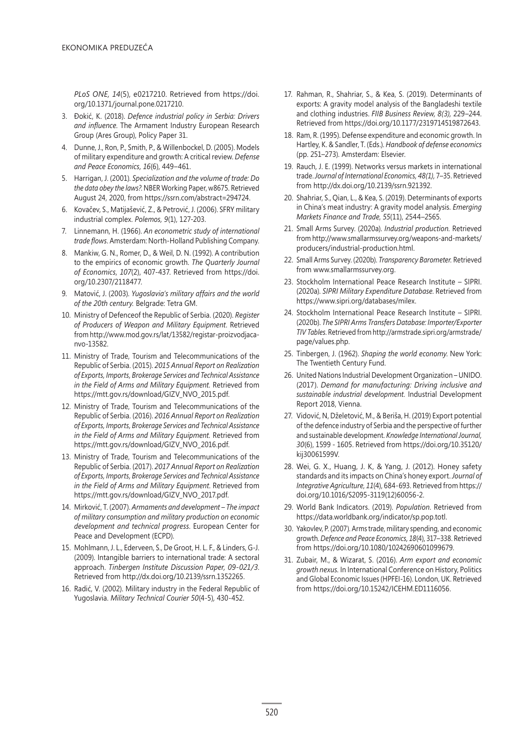*PLoS ONE, 14*(5), e0217210. Retrieved from https://doi. org/10.1371/journal.pone.0217210.

- 3. Đokić, K. (2018). *Defence industrial policy in Serbia: Drivers and influence*. The Armament Industry European Research Group (Ares Group), Policy Paper 31.
- 4. Dunne, J., Ron, P., Smith, P., & Willenbockel, D. (2005). Models of military expenditure and growth: A critical review. *Defense and Peace Economics, 16*(6), 449–461.
- 5. Harrigan, J. (2001). *Specialization and the volume of trade: Do the data obey the laws?*. NBER Working Paper, w8675. Retrieved August 24, 2020, from https://ssrn.com/abstract=294724.
- 6. Kovačev, S., Matijašević, Z., & Petrović, J. (2006). SFRY military industrial complex. *Polemos, 9*(1), 127-203.
- 7. Linnemann, H. (1966). *An econometric study of international trade flows*. Amsterdam: North-Holland Publishing Company.
- 8. Mankiw, G. N., Romer, D., & Weil, D. N. (1992). A contribution to the empirics of economic growth. *The Quarterly Journal of Economics*, *107*(2), 407-437. Retrieved from https://doi. org/10.2307/2118477.
- 9. Matović, J. (2003). *Yugoslavia's military affairs and the world of the 20th century.* Belgrade: Tetra GM.
- 10. Ministry of Defenceof the Republic of Serbia. (2020). *Register of Producers of Weapon and Military Equipment*. Retrieved from http://www.mod.gov.rs/lat/13582/registar-proizvodjacanvo-13582.
- 11. Ministry of Trade, Tourism and Telecommunications of the Republic of Serbia. (2015). *2015 Annual Report on Realization of Exports, Imports, Brokerage Services and Technical Assistance in the Field of Arms and Military Equipment.* Retrieved from https://mtt.gov.rs/download/GIZV\_NVO\_2015.pdf.
- 12. Ministry of Trade, Tourism and Telecommunications of the Republic of Serbia. (2016). *2016 Annual Report on Realization of Exports, Imports, Brokerage Services and Technical Assistance in the Field of Arms and Military Equipment.* Retrieved from https://mtt.gov.rs/download/GIZV\_NVO\_2016.pdf.
- 13. Ministry of Trade, Tourism and Telecommunications of the Republic of Serbia. (2017). *2017 Annual Report on Realization of Exports, Imports, Brokerage Services and Technical Assistance in the Field of Arms and Military Equipment*. Retrieved from https://mtt.gov.rs/download/GIZV\_NVO\_2017.pdf.
- 14. Mirković, T. (2007). *Armaments and development The impact of military consumption and military production on economic development and technical progress*. European Center for Peace and Development (ECPD).
- 15. Mohlmann, J. L., Ederveen, S., De Groot, H. L. F., & Linders, G-J. (2009). Intangible barriers to international trade: A sectoral approach. *Tinbergen Institute Discussion Paper, 09-021/3*. Retrieved from http://dx.doi.org/10.2139/ssrn.1352265.
- 16. Radić, V. (2002). Military industry in the Federal Republic of Yugoslavia. *Military Technical Courier 50*(4-5)*,* 430-452.
- 17. Rahman, R., Shahriar, S., & Kea, S. (2019). Determinants of exports: A gravity model analysis of the Bangladeshi textile and clothing industries. *FIIB Business Review, 8(3),* 229–244. Retrieved from https://doi.org/10.1177/2319714519872643.
- 18. Ram, R. (1995). Defense expenditure and economic growth. In Hartley, K. & Sandler, T. (Eds.). *Handbook of defense economics*  (pp. 251–273). Amsterdam: Elsevier.
- 19. Rauch, J. E. (1999). Networks versus markets in international trade. *Journal of International Economics, 48(1),* 7–35. Retrieved from http://dx.doi.org/10.2139/ssrn.921392.
- 20. Shahriar, S., Qian, L., & Kea, S. (2019). Determinants of exports in China's meat industry: A gravity model analysis. *Emerging Markets Finance and Trade*, *55*(11), 2544–2565.
- 21. Small Arms Survey. (2020a). *Industrial production.* Retrieved from http://www.smallarmssurvey.org/weapons-and-markets/ producers/industrial-production.html.
- 22. Small Arms Survey. (2020b). *Transparency Barometer.* Retrieved from www.smallarmssurvey.org.
- 23. Stockholm International Peace Research Institute SIPRI. (2020a). *SIPRI Military Expenditure Database*. Retrieved from https://www.sipri.org/databases/milex.
- 24. Stockholm International Peace Research Institute SIPRI. (2020b). *The SIPRI Arms Transfers Database: Importer/Exporter TIV Tables*. Retrieved from http://armstrade.sipri.org/armstrade/ page/values.php.
- 25. Tinbergen, J. (1962). *Shaping the world economy*. New York: The Twentieth Century Fund.
- 26. United Nations Industrial Development Organization UNIDO. (2017). *Demand for manufacturing: Driving inclusive and sustainable industrial development.* Industrial Development Report 2018, Vienna.
- 27. Vidović, N, Dželetović, M., & Beriša, H. (2019) Export potential of the defence industry of Serbia and the perspective of further and sustainable development. *Knowledge International Journal, 30*(6), 1599 - 1605. Retrieved from https://doi.org/10.35120/ kij30061599V.
- 28. Wei, G. X., Huang, J. K, & Yang, J. (2012). Honey safety standards and itsimpacts on China's honey export. *Journal of Integrative Agriculture*, *11*(4), 684-693. Retrieved from https:// doi.org/10.1016/S2095-3119(12)60056-2.
- 29. World Bank Indicators. (2019). *Population*. Retrieved from https://data.worldbank.org/indicator/sp.pop.totl.
- 30. Yakovlev, P. (2007). Armstrade, military spending, and economic growth. *Defence and Peace Economics, 18*(4), 317–338. Retrieved from https://doi.org/10.1080/10242690601099679.
- 31. Zubair, M., & Wizarat, S. (2016). *Arm export and economic growth nexus.* In International Conference on History, Politics and Global Economic Issues(HPFEI-16). London, UK. Retrieved from https://doi.org/10.15242/ICEHM.ED1116056.